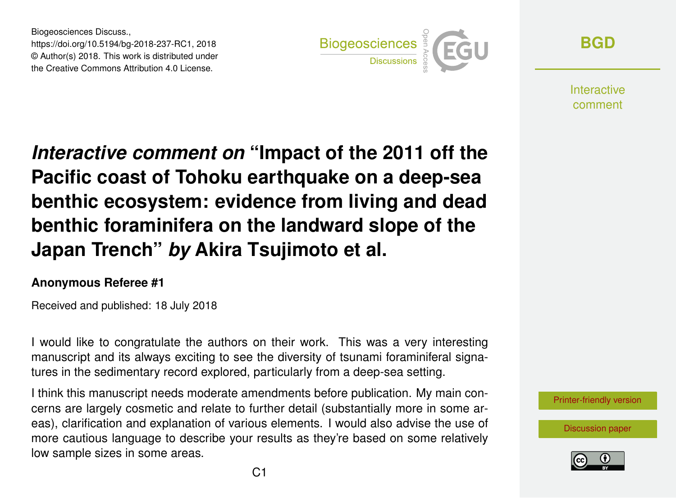Biogeosciences Discuss., https://doi.org/10.5194/bg-2018-237-RC1, 2018 © Author(s) 2018. This work is distributed under the Creative Commons Attribution 4.0 License.



**[BGD](https://www.biogeosciences-discuss.net/)**

**Interactive** comment

*Interactive comment on* **"Impact of the 2011 off the Pacific coast of Tohoku earthquake on a deep-sea benthic ecosystem: evidence from living and dead benthic foraminifera on the landward slope of the Japan Trench"** *by* **Akira Tsujimoto et al.**

## **Anonymous Referee #1**

Received and published: 18 July 2018

I would like to congratulate the authors on their work. This was a very interesting manuscript and its always exciting to see the diversity of tsunami foraminiferal signatures in the sedimentary record explored, particularly from a deep-sea setting.

I think this manuscript needs moderate amendments before publication. My main concerns are largely cosmetic and relate to further detail (substantially more in some areas), clarification and explanation of various elements. I would also advise the use of more cautious language to describe your results as they're based on some relatively low sample sizes in some areas.

[Printer-friendly version](https://www.biogeosciences-discuss.net/bg-2018-237/bg-2018-237-RC1-print.pdf)

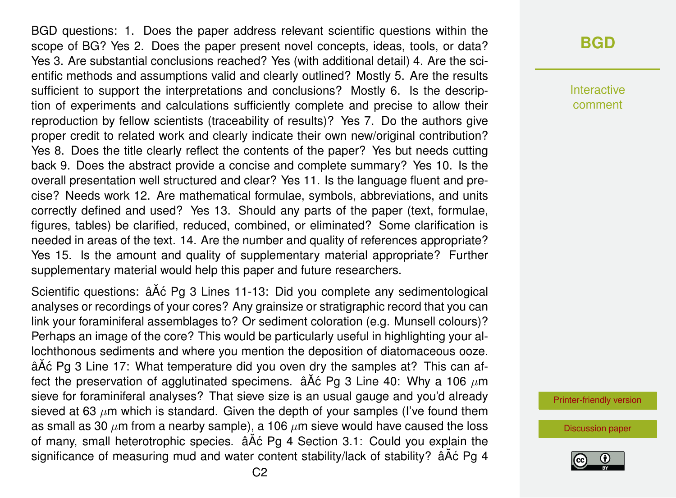BGD questions: 1. Does the paper address relevant scientific questions within the scope of BG? Yes 2. Does the paper present novel concepts, ideas, tools, or data? Yes 3. Are substantial conclusions reached? Yes (with additional detail) 4. Are the scientific methods and assumptions valid and clearly outlined? Mostly 5. Are the results sufficient to support the interpretations and conclusions? Mostly 6. Is the description of experiments and calculations sufficiently complete and precise to allow their reproduction by fellow scientists (traceability of results)? Yes 7. Do the authors give proper credit to related work and clearly indicate their own new/original contribution? Yes 8. Does the title clearly reflect the contents of the paper? Yes but needs cutting back 9. Does the abstract provide a concise and complete summary? Yes 10. Is the overall presentation well structured and clear? Yes 11. Is the language fluent and precise? Needs work 12. Are mathematical formulae, symbols, abbreviations, and units correctly defined and used? Yes 13. Should any parts of the paper (text, formulae, figures, tables) be clarified, reduced, combined, or eliminated? Some clarification is needed in areas of the text. 14. Are the number and quality of references appropriate? Yes 15. Is the amount and quality of supplementary material appropriate? Further supplementary material would help this paper and future researchers.

Scientific questions: âĂć Pg 3 Lines 11-13: Did you complete any sedimentological analyses or recordings of your cores? Any grainsize or stratigraphic record that you can link your foraminiferal assemblages to? Or sediment coloration (e.g. Munsell colours)? Perhaps an image of the core? This would be particularly useful in highlighting your allochthonous sediments and where you mention the deposition of diatomaceous ooze. âAٌ c Pg 3 Line 17: What temperature did you oven dry the samples at? This can affect the preservation of agglutinated specimens.  $\Delta \tilde{A}$ c Pg 3 Line 40: Why a 106  $\mu$ m sieve for foraminiferal analyses? That sieve size is an usual gauge and you'd already sieved at 63  $\mu$ m which is standard. Given the depth of your samples (I've found them as small as 30  $\mu$ m from a nearby sample), a 106  $\mu$ m sieve would have caused the loss of many, small heterotrophic species.  $\hat{a}$ A $\hat{c}$  Pg 4 Section 3.1: Could you explain the significance of measuring mud and water content stability/lack of stability?  $\hat{a}$  A $\hat{c}$  Pg 4 Interactive comment

[Printer-friendly version](https://www.biogeosciences-discuss.net/bg-2018-237/bg-2018-237-RC1-print.pdf)

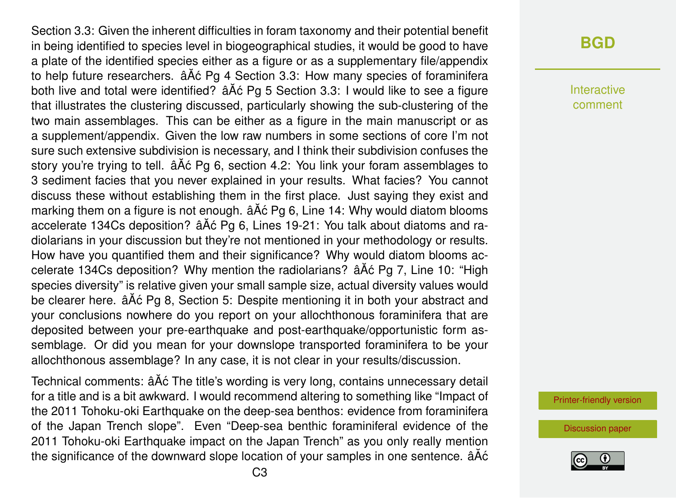Section 3.3: Given the inherent difficulties in foram taxonomy and their potential benefit in being identified to species level in biogeographical studies, it would be good to have a plate of the identified species either as a figure or as a supplementary file/appendix to help future researchers.  $\hat{a}$ Åć Pg 4 Section 3.3: How many species of foraminifera both live and total were identified?  $\hat{A}\hat{A}\hat{C}$  Pg 5 Section 3.3: I would like to see a figure that illustrates the clustering discussed, particularly showing the sub-clustering of the two main assemblages. This can be either as a figure in the main manuscript or as a supplement/appendix. Given the low raw numbers in some sections of core I'm not sure such extensive subdivision is necessary, and I think their subdivision confuses the story you're trying to tell.  $\tilde{a}$ A $\tilde{c}$  Pg 6, section 4.2: You link your foram assemblages to 3 sediment facies that you never explained in your results. What facies? You cannot discuss these without establishing them in the first place. Just saying they exist and marking them on a figure is not enough.  $\hat{a}$  Å $\hat{c}$  Pg 6, Line 14: Why would diatom blooms accelerate 134Cs deposition?  $\tilde{a}$ A $\tilde{c}$  Pg 6, Lines 19-21: You talk about diatoms and radiolarians in your discussion but they're not mentioned in your methodology or results. How have you quantified them and their significance? Why would diatom blooms accelerate 134Cs deposition? Why mention the radiolarians?  $\hat{a}$  Åc Pg 7, Line 10: "High species diversity" is relative given your small sample size, actual diversity values would be clearer here.  $\hat{a}A\hat{c}Pq8$ , Section 5: Despite mentioning it in both your abstract and your conclusions nowhere do you report on your allochthonous foraminifera that are deposited between your pre-earthquake and post-earthquake/opportunistic form assemblage. Or did you mean for your downslope transported foraminifera to be your allochthonous assemblage? In any case, it is not clear in your results/discussion.

Technical comments: âĂć The title's wording is very long, contains unnecessary detail for a title and is a bit awkward. I would recommend altering to something like "Impact of the 2011 Tohoku-oki Earthquake on the deep-sea benthos: evidence from foraminifera of the Japan Trench slope". Even "Deep-sea benthic foraminiferal evidence of the 2011 Tohoku-oki Earthquake impact on the Japan Trench" as you only really mention the significance of the downward slope location of your samples in one sentence.  $\hat{a}\hat{A}\hat{c}$ 

## **[BGD](https://www.biogeosciences-discuss.net/)**

Interactive comment

[Printer-friendly version](https://www.biogeosciences-discuss.net/bg-2018-237/bg-2018-237-RC1-print.pdf)